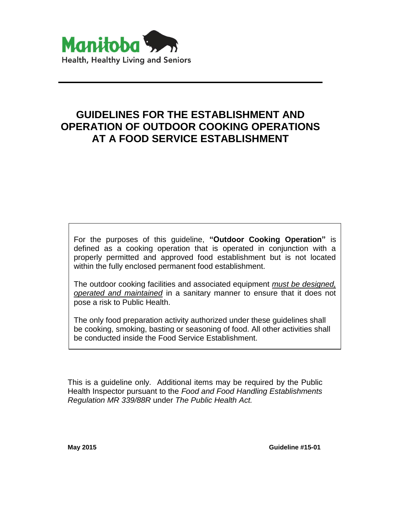

# **GUIDELINES FOR THE ESTABLISHMENT AND OPERATION OF OUTDOOR COOKING OPERATIONS AT A FOOD SERVICE ESTABLISHMENT**

For the purposes of this guideline, **"Outdoor Cooking Operation"** is defined as a cooking operation that is operated in conjunction with a properly permitted and approved food establishment but is not located within the fully enclosed permanent food establishment.

The outdoor cooking facilities and associated equipment *must be designed, operated and maintained* in a sanitary manner to ensure that it does not pose a risk to Public Health.

The only food preparation activity authorized under these guidelines shall be cooking, smoking, basting or seasoning of food. All other activities shall be conducted inside the Food Service Establishment.

This is a guideline only. Additional items may be required by the Public Health Inspector pursuant to the *Food and Food Handling Establishments Regulation MR 339/88R* under *The Public Health Act.*

**May 2015 Guideline #15-01**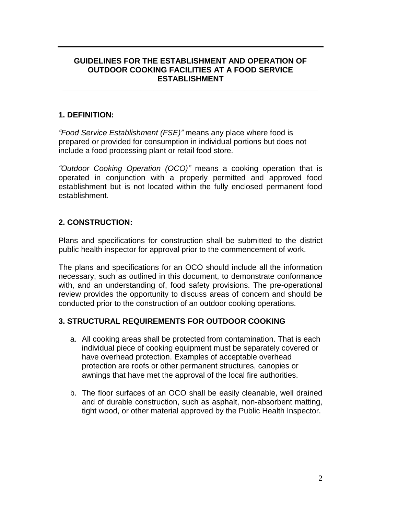## **GUIDELINES FOR THE ESTABLISHMENT AND OPERATION OF OUTDOOR COOKING FACILITIES AT A FOOD SERVICE ESTABLISHMENT**

**\_\_\_\_\_\_\_\_\_\_\_\_\_\_\_\_\_\_\_\_\_\_\_\_\_\_\_\_\_\_\_\_\_\_\_\_\_\_\_\_\_\_\_\_\_\_\_\_\_\_\_\_\_\_\_\_\_\_\_**

## **1. DEFINITION:**

*"Food Service Establishment (FSE)"* means any place where food is prepared or provided for consumption in individual portions but does not include a food processing plant or retail food store.

*"Outdoor Cooking Operation (OCO)"* means a cooking operation that is operated in conjunction with a properly permitted and approved food establishment but is not located within the fully enclosed permanent food establishment.

# **2. CONSTRUCTION:**

Plans and specifications for construction shall be submitted to the district public health inspector for approval prior to the commencement of work.

The plans and specifications for an OCO should include all the information necessary, such as outlined in this document, to demonstrate conformance with, and an understanding of, food safety provisions. The pre-operational review provides the opportunity to discuss areas of concern and should be conducted prior to the construction of an outdoor cooking operations.

# **3. STRUCTURAL REQUIREMENTS FOR OUTDOOR COOKING**

- a. All cooking areas shall be protected from contamination. That is each individual piece of cooking equipment must be separately covered or have overhead protection. Examples of acceptable overhead protection are roofs or other permanent structures, canopies or awnings that have met the approval of the local fire authorities.
- b. The floor surfaces of an OCO shall be easily cleanable, well drained and of durable construction, such as asphalt, non-absorbent matting, tight wood, or other material approved by the Public Health Inspector.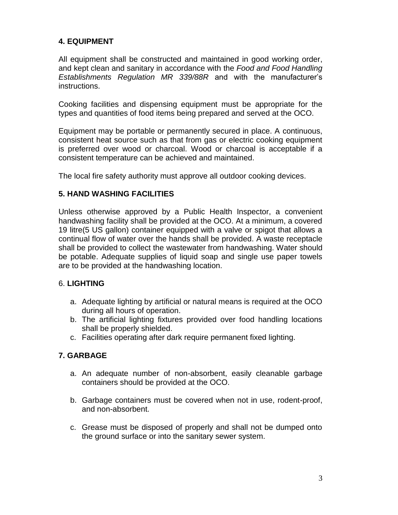# **4. EQUIPMENT**

All equipment shall be constructed and maintained in good working order, and kept clean and sanitary in accordance with the *Food and Food Handling Establishments Regulation MR 339/88R* and with the manufacturer's instructions.

Cooking facilities and dispensing equipment must be appropriate for the types and quantities of food items being prepared and served at the OCO.

Equipment may be portable or permanently secured in place. A continuous, consistent heat source such as that from gas or electric cooking equipment is preferred over wood or charcoal. Wood or charcoal is acceptable if a consistent temperature can be achieved and maintained.

The local fire safety authority must approve all outdoor cooking devices.

## **5. HAND WASHING FACILITIES**

Unless otherwise approved by a Public Health Inspector, a convenient handwashing facility shall be provided at the OCO. At a minimum, a covered 19 litre(5 US gallon) container equipped with a valve or spigot that allows a continual flow of water over the hands shall be provided. A waste receptacle shall be provided to collect the wastewater from handwashing. Water should be potable. Adequate supplies of liquid soap and single use paper towels are to be provided at the handwashing location.

#### 6. **LIGHTING**

- a. Adequate lighting by artificial or natural means is required at the OCO during all hours of operation.
- b. The artificial lighting fixtures provided over food handling locations shall be properly shielded.
- c. Facilities operating after dark require permanent fixed lighting.

# **7. GARBAGE**

- a. An adequate number of non-absorbent, easily cleanable garbage containers should be provided at the OCO.
- b. Garbage containers must be covered when not in use, rodent-proof, and non-absorbent.
- c. Grease must be disposed of properly and shall not be dumped onto the ground surface or into the sanitary sewer system.